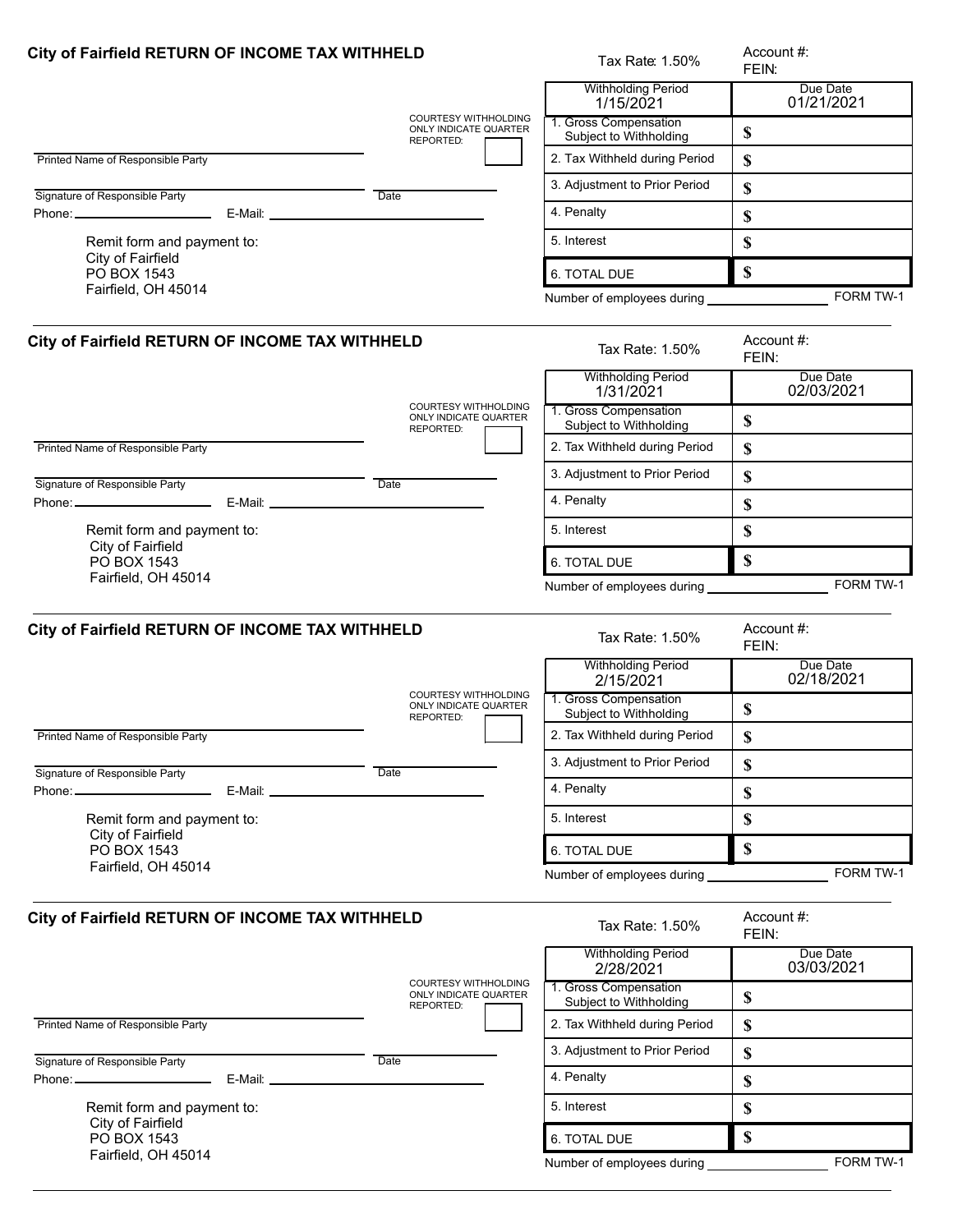| City of Fairfield RETURN OF INCOME TAX WITHHELD              |                                                                   | Tax Rate: 1.50%                                 | Account #:<br>FEIN:       |
|--------------------------------------------------------------|-------------------------------------------------------------------|-------------------------------------------------|---------------------------|
|                                                              |                                                                   | <b>Withholding Period</b><br>1/15/2021          | Due Date<br>01/21/2021    |
|                                                              | COURTESY WITHHOLDING<br>ONLY INDICATE QUARTER<br>REPORTED:        | 1. Gross Compensation<br>Subject to Withholding | \$                        |
| Printed Name of Responsible Party                            |                                                                   | 2. Tax Withheld during Period                   | \$                        |
| Signature of Responsible Party                               | Date                                                              | 3. Adjustment to Prior Period                   | \$                        |
|                                                              |                                                                   | 4. Penalty                                      | \$                        |
| Remit form and payment to:                                   |                                                                   | 5. Interest                                     | \$                        |
| City of Fairfield<br>PO BOX 1543                             |                                                                   | 6. TOTAL DUE                                    | \$                        |
| Fairfield, OH 45014                                          |                                                                   | Number of employees during                      | FORM TW-1                 |
| City of Fairfield RETURN OF INCOME TAX WITHHELD              |                                                                   | Tax Rate: 1.50%                                 | Account #:<br>FEIN:       |
|                                                              | <b>COURTESY WITHHOLDING</b>                                       | <b>Withholding Period</b><br>1/31/2021          | Due Date<br>02/03/2021    |
|                                                              | ONLY INDICATE QUARTER<br>REPORTED:                                | 1. Gross Compensation<br>Subject to Withholding | \$                        |
| Printed Name of Responsible Party                            |                                                                   | 2. Tax Withheld during Period                   | \$                        |
| Signature of Responsible Party                               | Date                                                              | 3. Adjustment to Prior Period                   | \$                        |
| Phone: ________________________                              |                                                                   | 4. Penalty                                      | \$                        |
| Remit form and payment to:                                   |                                                                   | 5. Interest                                     | \$                        |
| City of Fairfield<br>PO BOX 1543                             |                                                                   | 6. TOTAL DUE                                    | $\mathbf S$               |
| Fairfield, OH 45014                                          |                                                                   | Number of employees during _______________      | FORM TW-1                 |
| City of Fairfield RETURN OF INCOME TAX WITHHELD              |                                                                   | Tax Rate: 1.50%                                 | Account #:<br>FEIN:       |
|                                                              | <b>COURTESY WITHHOLDING</b>                                       | <b>Withholding Period</b><br>2/15/2021          | Due Date<br>02/18/2021    |
|                                                              | ONLY INDICATE QUARTER<br><b>REPORTED:</b>                         | 1. Gross Compensation<br>Subject to Withholding | \$                        |
| Printed Name of Responsible Party                            |                                                                   | 2. Tax Withheld during Period                   | \$                        |
| Signature of Responsible Party                               | Date                                                              | 3. Adjustment to Prior Period                   | \$                        |
| Phone: _________________________                             |                                                                   | 4. Penalty                                      | \$                        |
| Remit form and payment to:                                   |                                                                   | 5. Interest                                     | \$                        |
| City of Fairfield<br>PO BOX 1543<br>Fairfield, OH 45014      |                                                                   | 6. TOTAL DUE                                    | $\boldsymbol{\mathsf{S}}$ |
|                                                              |                                                                   | Number of employees during                      | FORM TW-1                 |
| City of Fairfield RETURN OF INCOME TAX WITHHELD              |                                                                   | Tax Rate: 1.50%                                 | Account #:<br>FEIN:       |
|                                                              |                                                                   | <b>Withholding Period</b><br>2/28/2021          | Due Date<br>03/03/2021    |
|                                                              | <b>COURTESY WITHHOLDING</b><br>ONLY INDICATE QUARTER<br>REPORTED: | 1. Gross Compensation<br>Subject to Withholding | \$                        |
| Printed Name of Responsible Party                            |                                                                   | 2. Tax Withheld during Period                   | \$                        |
| Signature of Responsible Party                               | Date                                                              | 3. Adjustment to Prior Period                   | \$                        |
| Phone: ________________________<br>E-Mail: _________________ |                                                                   | 4. Penalty                                      | \$                        |
| Remit form and payment to:                                   |                                                                   | 5. Interest                                     | \$                        |
| City of Fairfield<br>PO BOX 1543                             |                                                                   | 6. TOTAL DUE                                    | \$                        |
| Fairfield, OH 45014                                          |                                                                   | Number of employees during                      | FORM TW-1                 |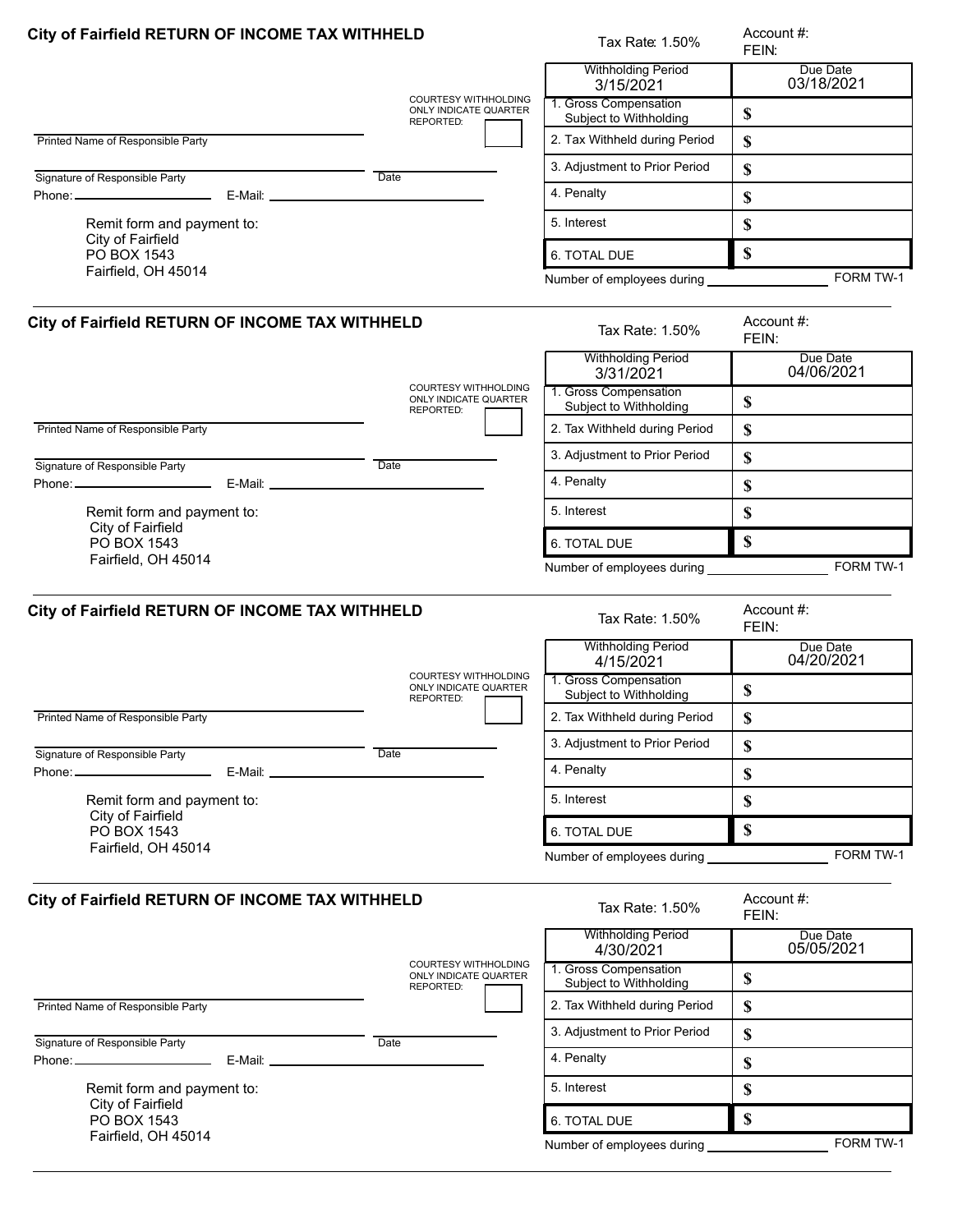| City of Fairfield RETURN OF INCOME TAX WITHHELD              |                                                                   | Tax Rate: 1.50%                                 | Account #:<br>FEIN:       |
|--------------------------------------------------------------|-------------------------------------------------------------------|-------------------------------------------------|---------------------------|
|                                                              | <b>COURTESY WITHHOLDING</b>                                       | <b>Withholding Period</b><br>3/15/2021          | Due Date<br>03/18/2021    |
|                                                              | ONLY INDICATE QUARTER<br>REPORTED:                                | 1. Gross Compensation<br>Subject to Withholding | \$                        |
| Printed Name of Responsible Party                            |                                                                   | 2. Tax Withheld during Period                   | \$                        |
| Signature of Responsible Party                               | Date                                                              | 3. Adjustment to Prior Period                   | \$                        |
|                                                              |                                                                   | 4. Penalty                                      | \$                        |
| Remit form and payment to:                                   |                                                                   | 5. Interest                                     | \$                        |
| City of Fairfield<br>PO BOX 1543                             |                                                                   | 6. TOTAL DUE                                    | \$                        |
| Fairfield, OH 45014                                          |                                                                   | Number of employees during                      | FORM TW-1                 |
| City of Fairfield RETURN OF INCOME TAX WITHHELD              |                                                                   | Tax Rate: 1.50%                                 | Account #:<br>FEIN:       |
|                                                              |                                                                   | <b>Withholding Period</b><br>3/31/2021          | Due Date<br>04/06/2021    |
|                                                              | COURTESY WITHHOLDING<br><b>ONLY INDICATE QUARTER</b><br>REPORTED: | 1. Gross Compensation<br>Subject to Withholding | \$                        |
| Printed Name of Responsible Party                            |                                                                   | 2. Tax Withheld during Period                   | \$                        |
| Signature of Responsible Party                               | Date                                                              | 3. Adjustment to Prior Period                   | \$                        |
| Phone: ________________________<br>E-Mail: _________________ |                                                                   | 4. Penalty                                      | \$                        |
| Remit form and payment to:                                   |                                                                   | 5. Interest                                     | \$                        |
| City of Fairfield<br>PO BOX 1543                             |                                                                   | 6. TOTAL DUE                                    | $\mathbf S$               |
| Fairfield, OH 45014                                          |                                                                   | Number of employees during __________           | FORM TW-1                 |
| City of Fairfield RETURN OF INCOME TAX WITHHELD              |                                                                   | Tax Rate: 1.50%                                 | Account #:<br>FEIN:       |
|                                                              |                                                                   | <b>Withholding Period</b><br>4/15/2021          | Due Date<br>04/20/2021    |
|                                                              | <b>COURTESY WITHHOLDING</b><br>ONLY INDICATE QUARTER<br>REPORTED: | 1. Gross Compensation<br>Subject to Withholding | \$                        |
| Printed Name of Responsible Party                            |                                                                   | 2. Tax Withheld during Period                   | \$                        |
| Signature of Responsible Party                               | Date                                                              | 3. Adjustment to Prior Period                   | \$                        |
| Phone: ________________________<br>E-Mail: _______________   |                                                                   | 4. Penalty                                      | $\boldsymbol{\mathsf{S}}$ |
| Remit form and payment to:                                   |                                                                   | 5. Interest                                     | \$                        |
| City of Fairfield<br>PO BOX 1543                             |                                                                   | 6. TOTAL DUE                                    | $\mathbf S$               |
| Fairfield, OH 45014                                          |                                                                   |                                                 | FORM TW-1                 |
| City of Fairfield RETURN OF INCOME TAX WITHHELD              |                                                                   | Tax Rate: 1.50%                                 | Account #:<br>FEIN:       |
|                                                              |                                                                   | <b>Withholding Period</b><br>4/30/2021          | Due Date<br>05/05/2021    |
|                                                              | <b>COURTESY WITHHOLDING</b><br>ONLY INDICATE QUARTER<br>REPORTED: | 1. Gross Compensation<br>Subject to Withholding | \$                        |
| Printed Name of Responsible Party                            |                                                                   | 2. Tax Withheld during Period                   | \$                        |
| Signature of Responsible Party                               | Date                                                              | 3. Adjustment to Prior Period                   | \$                        |
|                                                              |                                                                   | 4. Penalty                                      | \$                        |
| Remit form and payment to:                                   |                                                                   | 5. Interest                                     | \$                        |
| City of Fairfield<br>PO BOX 1543                             |                                                                   | 6. TOTAL DUE                                    | \$                        |
| Fairfield, OH 45014                                          |                                                                   | Number of employees during                      | FORM TW-1                 |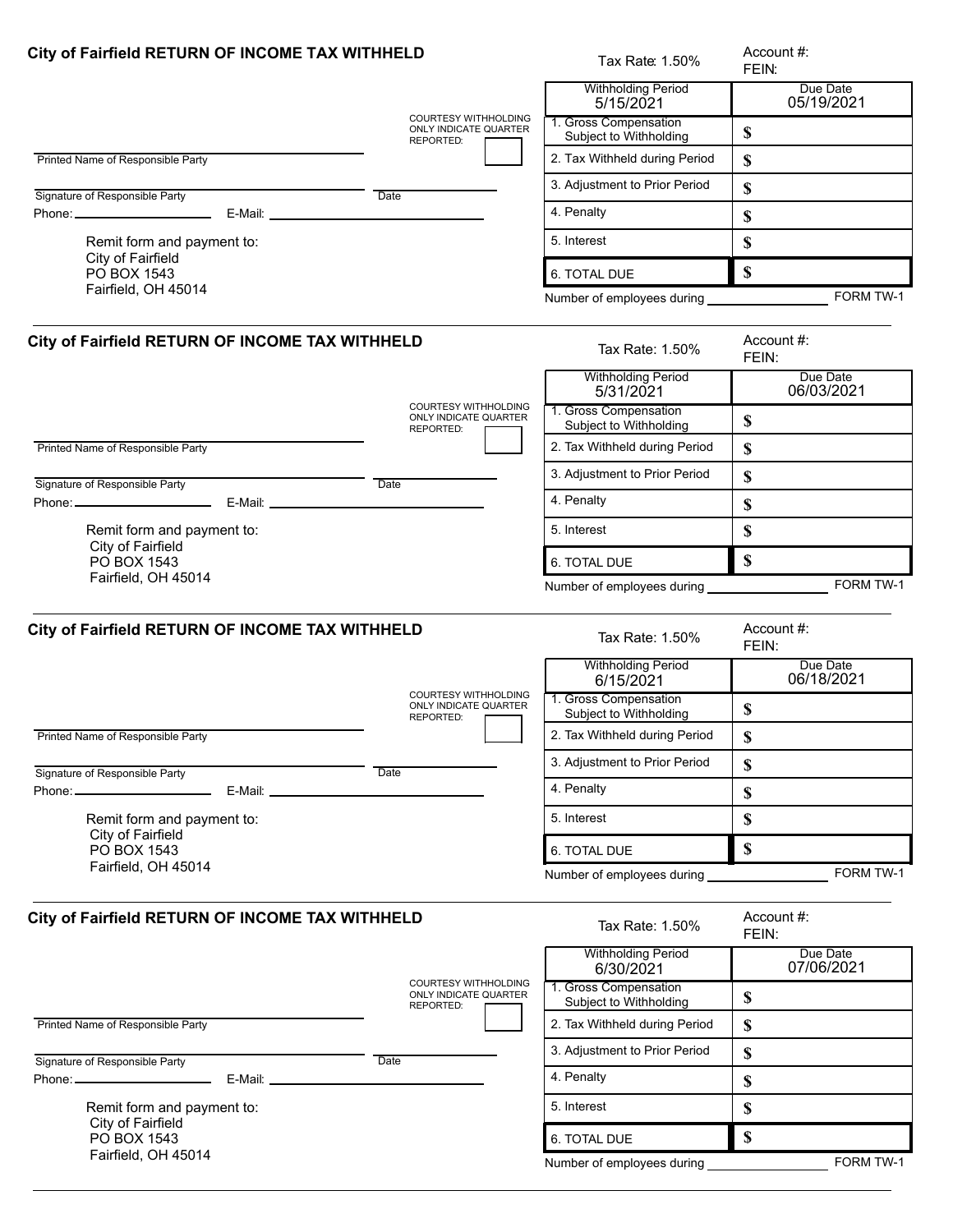|                                                              | City of Fairfield RETURN OF INCOME TAX WITHHELD                   |                                                                 | Account #:<br>FEIN:       |
|--------------------------------------------------------------|-------------------------------------------------------------------|-----------------------------------------------------------------|---------------------------|
|                                                              |                                                                   | <b>Withholding Period</b><br>5/15/2021                          | Due Date<br>05/19/2021    |
|                                                              | COURTESY WITHHOLDING<br>ONLY INDICATE QUARTER<br>REPORTED:        | 1. Gross Compensation<br>Subject to Withholding                 | \$                        |
| Printed Name of Responsible Party                            |                                                                   | 2. Tax Withheld during Period                                   | \$                        |
| Signature of Responsible Party                               | Date                                                              | 3. Adjustment to Prior Period                                   | \$                        |
|                                                              |                                                                   | 4. Penalty                                                      | \$                        |
| Remit form and payment to:                                   |                                                                   | 5. Interest                                                     | \$                        |
| City of Fairfield<br>PO BOX 1543                             |                                                                   | 6. TOTAL DUE                                                    | \$                        |
| Fairfield, OH 45014                                          |                                                                   | Number of employees during                                      | FORM TW-1                 |
| City of Fairfield RETURN OF INCOME TAX WITHHELD              |                                                                   | Tax Rate: 1.50%                                                 | Account #:<br>FEIN:       |
|                                                              | <b>COURTESY WITHHOLDING</b>                                       | <b>Withholding Period</b><br>5/31/2021                          | Due Date<br>06/03/2021    |
|                                                              | ONLY INDICATE QUARTER<br>REPORTED:                                | 1. Gross Compensation<br>Subject to Withholding                 | \$                        |
| Printed Name of Responsible Party                            |                                                                   | 2. Tax Withheld during Period                                   | \$                        |
| Signature of Responsible Party                               | Date                                                              | 3. Adjustment to Prior Period                                   | \$                        |
| Phone: ________________________                              |                                                                   | 4. Penalty                                                      | \$                        |
| Remit form and payment to:                                   |                                                                   | 5. Interest                                                     | \$                        |
| City of Fairfield<br>PO BOX 1543                             |                                                                   | 6. TOTAL DUE                                                    | $\mathbf S$               |
| Fairfield, OH 45014                                          |                                                                   | Number of employees during _______________                      | FORM TW-1                 |
| City of Fairfield RETURN OF INCOME TAX WITHHELD              |                                                                   | Tax Rate: 1.50%                                                 | Account #:<br>FEIN:       |
|                                                              | <b>COURTESY WITHHOLDING</b>                                       | <b>Withholding Period</b><br>6/15/2021<br>1. Gross Compensation | Due Date<br>06/18/2021    |
|                                                              | ONLY INDICATE QUARTER<br><b>REPORTED:</b>                         | Subject to Withholding                                          | \$                        |
| Printed Name of Responsible Party                            |                                                                   | 2. Tax Withheld during Period                                   | \$                        |
| Signature of Responsible Party                               | Date                                                              | 3. Adjustment to Prior Period                                   | \$                        |
| Phone: _________________________                             |                                                                   | 4. Penalty                                                      | \$                        |
| Remit form and payment to:                                   |                                                                   | 5. Interest                                                     | \$                        |
| City of Fairfield<br>PO BOX 1543<br>Fairfield, OH 45014      |                                                                   | 6. TOTAL DUE                                                    | $\boldsymbol{\mathsf{S}}$ |
|                                                              |                                                                   | Number of employees during                                      | FORM TW-1                 |
| City of Fairfield RETURN OF INCOME TAX WITHHELD              |                                                                   | Tax Rate: 1.50%                                                 | Account #:<br>FEIN:       |
|                                                              |                                                                   | <b>Withholding Period</b><br>6/30/2021                          | Due Date<br>07/06/2021    |
|                                                              | <b>COURTESY WITHHOLDING</b><br>ONLY INDICATE QUARTER<br>REPORTED: | 1. Gross Compensation<br>Subject to Withholding                 | \$                        |
| Printed Name of Responsible Party                            |                                                                   | 2. Tax Withheld during Period                                   | \$                        |
| Signature of Responsible Party                               | Date                                                              | 3. Adjustment to Prior Period                                   | \$                        |
| Phone: ________________________<br>E-Mail: _________________ |                                                                   | 4. Penalty                                                      | \$                        |
| Remit form and payment to:                                   |                                                                   | 5. Interest                                                     | \$                        |
| City of Fairfield<br>PO BOX 1543                             |                                                                   | 6. TOTAL DUE                                                    | \$                        |
| Fairfield, OH 45014                                          |                                                                   | Number of employees during                                      | FORM TW-1                 |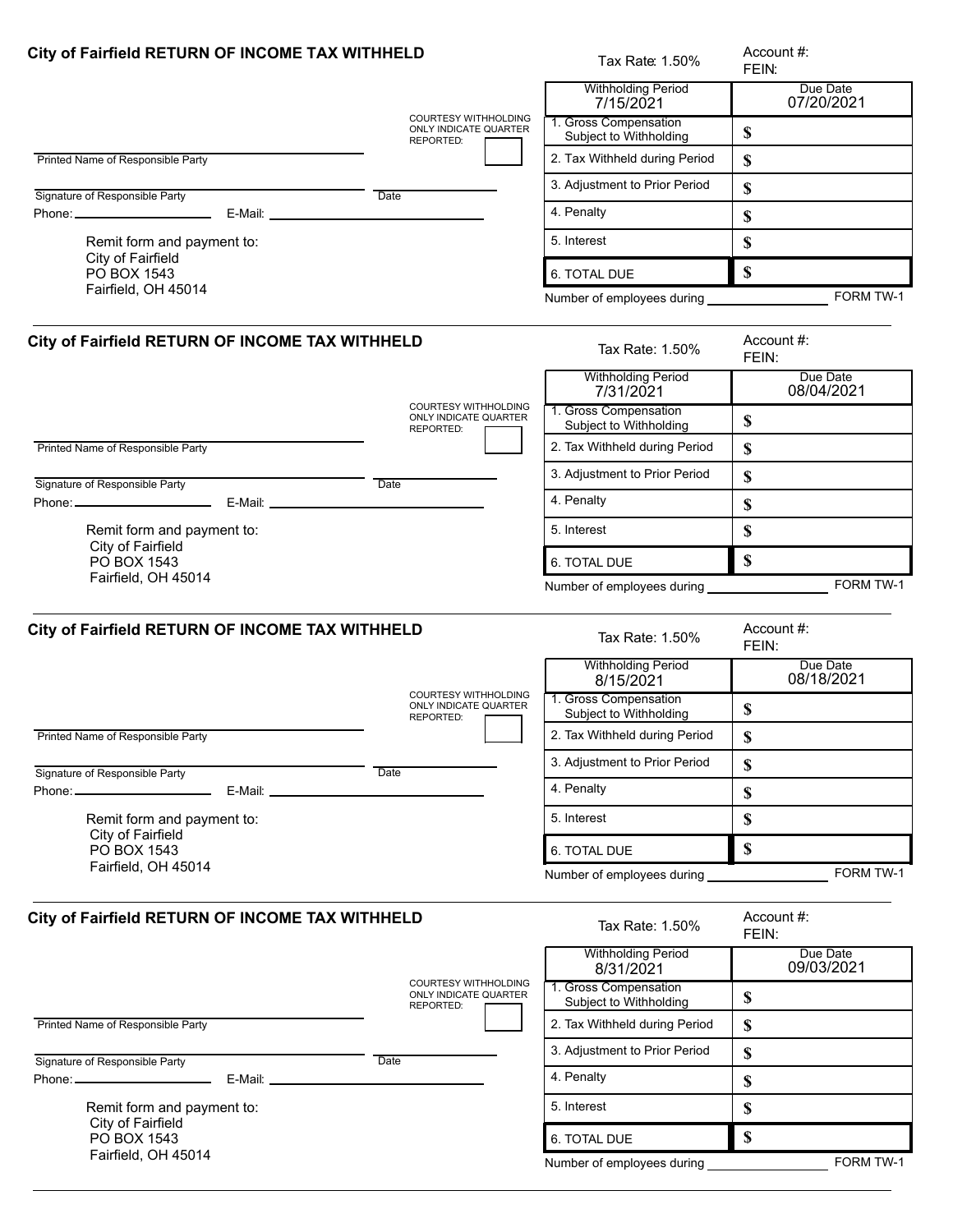| City of Fairfield RETURN OF INCOME TAX WITHHELD         |                                                                          | Tax Rate: 1.50%                                                 | Account #:<br>FEIN:       |
|---------------------------------------------------------|--------------------------------------------------------------------------|-----------------------------------------------------------------|---------------------------|
|                                                         |                                                                          | <b>Withholding Period</b><br>7/15/2021                          | Due Date<br>07/20/2021    |
|                                                         | <b>COURTESY WITHHOLDING</b><br>ONLY INDICATE QUARTER<br>REPORTED:        | 1. Gross Compensation<br>Subject to Withholding                 | \$                        |
| Printed Name of Responsible Party                       |                                                                          | 2. Tax Withheld during Period                                   | \$                        |
| Signature of Responsible Party                          | Date                                                                     | 3. Adjustment to Prior Period                                   | \$                        |
|                                                         |                                                                          | 4. Penalty                                                      | \$                        |
| Remit form and payment to:                              |                                                                          | 5. Interest                                                     | \$                        |
| City of Fairfield<br>PO BOX 1543                        |                                                                          | 6. TOTAL DUE                                                    | $\mathbf S$               |
| Fairfield, OH 45014                                     |                                                                          | Number of employees during _____                                | FORM TW-1                 |
| City of Fairfield RETURN OF INCOME TAX WITHHELD         |                                                                          | Tax Rate: 1.50%                                                 | Account #:<br>FEIN:       |
|                                                         |                                                                          | <b>Withholding Period</b><br>7/31/2021                          | Due Date<br>08/04/2021    |
|                                                         | <b>COURTESY WITHHOLDING</b><br><b>ONLY INDICATE QUARTER</b><br>REPORTED: | 1. Gross Compensation<br>Subject to Withholding                 | \$                        |
| Printed Name of Responsible Party                       |                                                                          | 2. Tax Withheld during Period                                   | \$                        |
| Signature of Responsible Party                          | Date                                                                     | 3. Adjustment to Prior Period                                   | \$                        |
| Phone: ________________________                         |                                                                          | 4. Penalty                                                      | \$                        |
| Remit form and payment to:                              |                                                                          | 5. Interest                                                     | \$                        |
| City of Fairfield<br>PO BOX 1543                        |                                                                          | 6. TOTAL DUE                                                    | $\mathbf S$               |
| Fairfield, OH 45014                                     |                                                                          | Number of employees during _______________                      | FORM TW-1                 |
| City of Fairfield RETURN OF INCOME TAX WITHHELD         |                                                                          | Tax Rate: 1.50%                                                 | Account #:<br>FEIN:       |
|                                                         | <b>COURTESY WITHHOLDING</b>                                              | <b>Withholding Period</b><br>8/15/2021<br>1. Gross Compensation | Due Date<br>08/18/2021    |
|                                                         | ONLY INDICATE QUARTER<br>REPORTED:                                       | Subject to Withholding                                          | \$                        |
| Printed Name of Responsible Party                       |                                                                          | 2. Tax Withheld during Period                                   | \$                        |
| Signature of Responsible Party                          | Date                                                                     | 3. Adjustment to Prior Period                                   | \$                        |
| Phone: _________________________                        |                                                                          | 4. Penalty                                                      | \$                        |
| Remit form and payment to:                              |                                                                          | 5. Interest                                                     | \$                        |
| City of Fairfield<br>PO BOX 1543<br>Fairfield, OH 45014 |                                                                          | 6. TOTAL DUE                                                    | $\boldsymbol{\mathsf{S}}$ |
|                                                         |                                                                          | Number of employees during                                      | FORM TW-1                 |
| City of Fairfield RETURN OF INCOME TAX WITHHELD         |                                                                          | Tax Rate: 1.50%                                                 | Account #:<br>FEIN:       |
|                                                         |                                                                          | <b>Withholding Period</b><br>8/31/2021                          | Due Date<br>09/03/2021    |
|                                                         | <b>COURTESY WITHHOLDING</b><br>ONLY INDICATE QUARTER                     | 1. Gross Compensation<br>Subject to Withholding                 | \$                        |
| Printed Name of Responsible Party                       | REPORTED:                                                                | 2. Tax Withheld during Period                                   | \$                        |
|                                                         |                                                                          | 3. Adjustment to Prior Period                                   | \$                        |
| Signature of Responsible Party                          | Date                                                                     | 4. Penalty                                                      | \$                        |
| Remit form and payment to:                              |                                                                          | 5. Interest                                                     | \$                        |
| City of Fairfield<br>PO BOX 1543                        |                                                                          | 6. TOTAL DUE                                                    | \$                        |
| Fairfield, OH 45014                                     |                                                                          | Number of employees during                                      | FORM TW-1                 |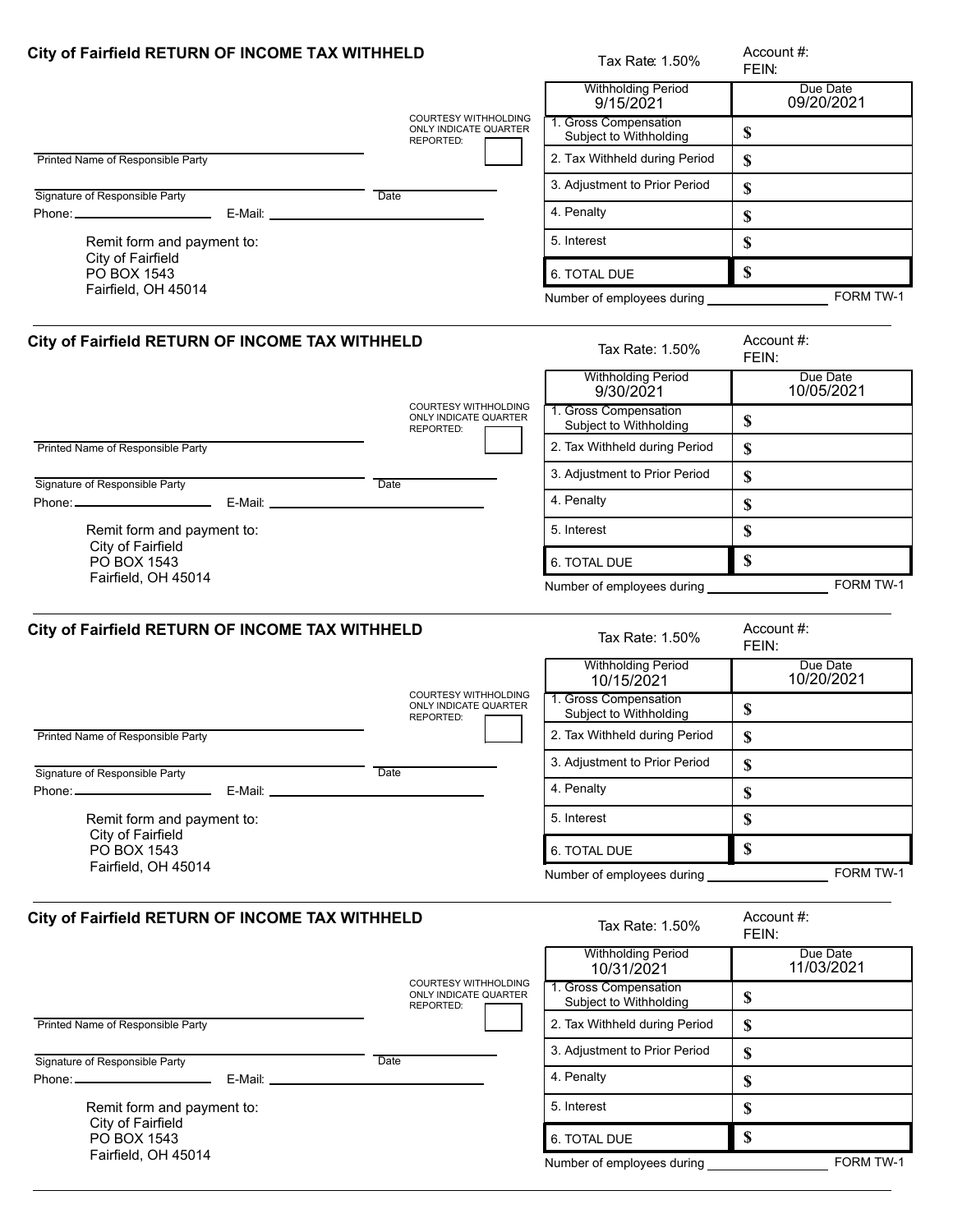| City of Fairfield RETURN OF INCOME TAX WITHHELD              |                                                                   | Tax Rate: 1.50%                                                  | Account #:<br>FEIN:       |
|--------------------------------------------------------------|-------------------------------------------------------------------|------------------------------------------------------------------|---------------------------|
|                                                              |                                                                   | <b>Withholding Period</b><br>9/15/2021                           | Due Date<br>09/20/2021    |
|                                                              | COURTESY WITHHOLDING<br>ONLY INDICATE QUARTER<br>REPORTED:        | 1. Gross Compensation<br>Subject to Withholding                  | \$                        |
| Printed Name of Responsible Party                            |                                                                   | 2. Tax Withheld during Period                                    | \$                        |
| Signature of Responsible Party                               | Date                                                              | 3. Adjustment to Prior Period                                    | \$                        |
|                                                              |                                                                   | 4. Penalty                                                       | \$                        |
| Remit form and payment to:                                   |                                                                   | 5. Interest                                                      | \$                        |
| City of Fairfield<br>PO BOX 1543                             |                                                                   | 6. TOTAL DUE                                                     | \$                        |
| Fairfield, OH 45014                                          |                                                                   | Number of employees during                                       | FORM TW-1                 |
| City of Fairfield RETURN OF INCOME TAX WITHHELD              |                                                                   | Tax Rate: 1.50%                                                  | Account #:<br>FEIN:       |
|                                                              | <b>COURTESY WITHHOLDING</b>                                       | <b>Withholding Period</b><br>9/30/2021                           | Due Date<br>10/05/2021    |
|                                                              | ONLY INDICATE QUARTER<br>REPORTED:                                | 1. Gross Compensation<br>Subject to Withholding                  | \$                        |
| Printed Name of Responsible Party                            |                                                                   | 2. Tax Withheld during Period                                    | \$                        |
| Signature of Responsible Party                               | Date                                                              | 3. Adjustment to Prior Period                                    | \$                        |
| Phone: ________________________                              |                                                                   | 4. Penalty                                                       | \$                        |
| Remit form and payment to:                                   |                                                                   | 5. Interest                                                      | \$                        |
| City of Fairfield<br>PO BOX 1543                             |                                                                   | 6. TOTAL DUE                                                     | $\mathbf S$               |
| Fairfield, OH 45014                                          |                                                                   | Number of employees during _______________                       | FORM TW-1                 |
| City of Fairfield RETURN OF INCOME TAX WITHHELD              |                                                                   | Tax Rate: 1.50%                                                  | Account #:<br>FEIN:       |
|                                                              | <b>COURTESY WITHHOLDING</b>                                       | <b>Withholding Period</b><br>10/15/2021<br>1. Gross Compensation | Due Date<br>10/20/2021    |
|                                                              | ONLY INDICATE QUARTER<br><b>REPORTED:</b>                         | Subject to Withholding                                           | \$                        |
| Printed Name of Responsible Party                            |                                                                   | 2. Tax Withheld during Period                                    | \$                        |
| Signature of Responsible Party                               | Date                                                              | 3. Adjustment to Prior Period                                    | \$                        |
| Phone: _________________________                             |                                                                   | 4. Penalty                                                       | \$                        |
| Remit form and payment to:                                   |                                                                   | 5. Interest                                                      | \$                        |
| City of Fairfield<br>PO BOX 1543                             |                                                                   | 6. TOTAL DUE                                                     | $\boldsymbol{\mathsf{S}}$ |
| Fairfield, OH 45014                                          |                                                                   | Number of employees during                                       | FORM TW-1                 |
| City of Fairfield RETURN OF INCOME TAX WITHHELD              |                                                                   | Tax Rate: 1.50%                                                  | Account #:<br>FEIN:       |
|                                                              |                                                                   | <b>Withholding Period</b><br>10/31/2021                          | Due Date<br>11/03/2021    |
|                                                              | <b>COURTESY WITHHOLDING</b><br>ONLY INDICATE QUARTER<br>REPORTED: | 1. Gross Compensation<br>Subject to Withholding                  | \$                        |
| Printed Name of Responsible Party                            |                                                                   | 2. Tax Withheld during Period                                    | \$                        |
| Signature of Responsible Party                               | Date                                                              | 3. Adjustment to Prior Period                                    | \$                        |
| Phone: ________________________<br>E-Mail: _________________ |                                                                   | 4. Penalty                                                       | \$                        |
| Remit form and payment to:                                   |                                                                   | 5. Interest                                                      | \$                        |
| City of Fairfield<br>PO BOX 1543                             |                                                                   | 6. TOTAL DUE                                                     | \$                        |
| Fairfield, OH 45014                                          |                                                                   | Number of employees during                                       | FORM TW-1                 |